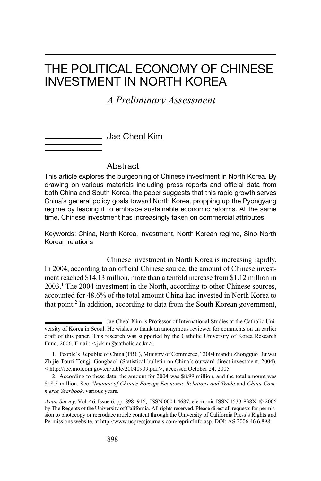# THE POLITICAL ECONOMY OF CHINESE INVESTMENT IN NORTH KOREA

*A Preliminary Assessment*

Jae Cheol Kim

# Abstract

This article explores the burgeoning of Chinese investment in North Korea. By drawing on various materials including press reports and official data from both China and South Korea, the paper suggests that this rapid growth serves China's general policy goals toward North Korea, propping up the Pyongyang regime by leading it to embrace sustainable economic reforms. At the same time, Chinese investment has increasingly taken on commercial attributes.

Keywords: China, North Korea, investment, North Korean regime, Sino-North Korean relations

Chinese investment in North Korea is increasing rapidly. In 2004, according to an official Chinese source, the amount of Chinese investment reached \$14.13 million, more than a tenfold increase from \$1.12 million in 2003.<sup>1</sup> The 2004 investment in the North, according to other Chinese sources, accounted for 48.6% of the total amount China had invested in North Korea to that point.<sup>2</sup> In addition, according to data from the South Korean government,

Jae Cheol Kim is Professor of International Studies at the Catholic University of Korea in Seoul. He wishes to thank an anonymous reviewer for comments on an earlier draft of this paper. This research was supported by the Catholic University of Korea Research Fund, 2006. Email: <jckim@catholic.ac.kr>.

<sup>1.</sup> People's Republic of China (PRC), Ministry of Commerce, "2004 niandu Zhongguo Duiwai Zhijie Touzi Tongji Gongbao" (Statistical bulletin on China's outward direct investment, 2004), <http://fec.mofcom.gov.cn/table/20040909.pdf>, accessed October 24, 2005.

<sup>2.</sup> According to these data, the amount for 2004 was \$8.99 million, and the total amount was \$18.5 million. See *Almanac of China's Foreign Economic Relations and Trade* and *China Commerce Yearbook*, various years.

*Asian Survey*, Vol. 46, Issue 6, pp. 898–916, ISSN 0004-4687, electronic ISSN 1533-838X. © 2006 by The Regents of the University of California. All rights reserved. Please direct all requests for permission to photocopy or reproduce article content through the University of California Press's Rights and Permissions website, at http://www.ucpressjournals.com/reprintInfo.asp. DOI: AS.2006.46.6.898.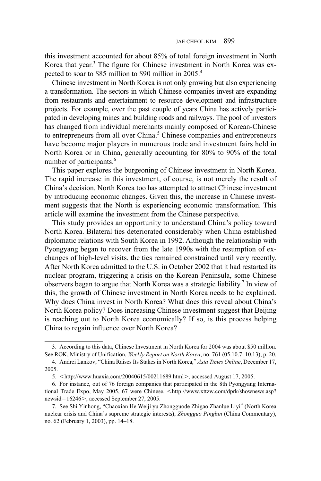this investment accounted for about 85% of total foreign investment in North Korea that year.<sup>3</sup> The figure for Chinese investment in North Korea was expected to soar to \$85 million to \$90 million in 2005.4

Chinese investment in North Korea is not only growing but also experiencing a transformation. The sectors in which Chinese companies invest are expanding from restaurants and entertainment to resource development and infrastructure projects. For example, over the past couple of years China has actively participated in developing mines and building roads and railways. The pool of investors has changed from individual merchants mainly composed of Korean-Chinese to entrepreneurs from all over China.<sup>5</sup> Chinese companies and entrepreneurs have become major players in numerous trade and investment fairs held in North Korea or in China, generally accounting for 80% to 90% of the total number of participants.<sup>6</sup>

This paper explores the burgeoning of Chinese investment in North Korea. The rapid increase in this investment, of course, is not merely the result of China's decision. North Korea too has attempted to attract Chinese investment by introducing economic changes. Given this, the increase in Chinese investment suggests that the North is experiencing economic transformation. This article will examine the investment from the Chinese perspective.

This study provides an opportunity to understand China's policy toward North Korea. Bilateral ties deteriorated considerably when China established diplomatic relations with South Korea in 1992. Although the relationship with Pyongyang began to recover from the late 1990s with the resumption of exchanges of high-level visits, the ties remained constrained until very recently. After North Korea admitted to the U.S. in October 2002 that it had restarted its nuclear program, triggering a crisis on the Korean Peninsula, some Chinese observers began to argue that North Korea was a strategic liability.<sup>7</sup> In view of this, the growth of Chinese investment in North Korea needs to be explained. Why does China invest in North Korea? What does this reveal about China's North Korea policy? Does increasing Chinese investment suggest that Beijing is reaching out to North Korea economically? If so, is this process helping China to regain influence over North Korea?

<sup>3.</sup> According to this data, Chinese Investment in North Korea for 2004 was about \$50 million. See ROK, Ministry of Unification, *Weekly Report on North Korea*, no. 761 (05.10.7–10.13), p. 20.

<sup>4.</sup> Andrei Lankov, "China Raises Its Stakes in North Korea," *Asia Times Online*, December 17, 2005.

<sup>5. &</sup>lt;http://www.huaxia.com/20040615/00211689.html>, accessed August 17, 2005.

<sup>6.</sup> For instance, out of 76 foreign companies that participated in the 8th Pyongyang International Trade Expo, May 2005, 67 were Chinese. <http://www.xttzw.com/dprk/shownews.asp? newsid=16246>, accessed September 27, 2005.

<sup>7.</sup> See Shi Yinhong, "Chaoxian He Weiji yu Zhongguode Zhigao Zhanlue Liyi" (North Korea nuclear crisis and China's supreme strategic interests), *Zhongguo Pinglun* (China Commentary), no. 62 (February 1, 2003), pp. 14–18.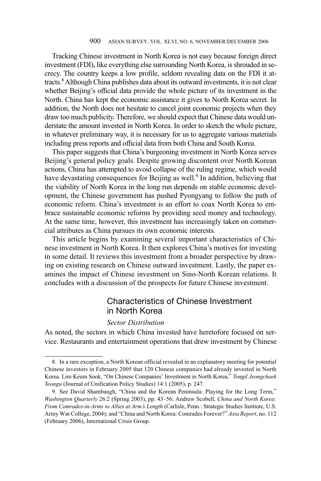Tracking Chinese investment in North Korea is not easy because foreign direct investment (FDI), like everything else surrounding North Korea, is shrouded in secrecy. The country keeps a low profile, seldom revealing data on the FDI it attracts.<sup>8</sup> Although China publishes data about its outward investments, it is not clear whether Beijing's official data provide the whole picture of its investment in the North. China has kept the economic assistance it gives to North Korea secret. In addition, the North does not hesitate to cancel joint economic projects when they draw too much publicity. Therefore, we should expect that Chinese data would understate the amount invested in North Korea. In order to sketch the whole picture, in whatever preliminary way, it is necessary for us to aggregate various materials including press reports and official data from both China and South Korea.

This paper suggests that China's burgeoning investment in North Korea serves Beijing's general policy goals. Despite growing discontent over North Korean actions, China has attempted to avoid collapse of the ruling regime, which would have devastating consequences for Beijing as well.<sup>9</sup> In addition, believing that the viability of North Korea in the long run depends on stable economic development, the Chinese government has pushed Pyongyang to follow the path of economic reform. China's investment is an effort to coax North Korea to embrace sustainable economic reforms by providing seed money and technology. At the same time, however, this investment has increasingly taken on commercial attributes as China pursues its own economic interests.

This article begins by examining several important characteristics of Chinese investment in North Korea. It then explores China's motives for investing in some detail. It reviews this investment from a broader perspective by drawing on existing research on Chinese outward investment. Lastly, the paper examines the impact of Chinese investment on Sino-North Korean relations. It concludes with a discussion of the prospects for future Chinese investment.

# Characteristics of Chinese Investment in North Korea

## *Sector Distribution*

As noted, the sectors in which China invested have heretofore focused on service. Restaurants and entertainment operations that drew investment by Chinese

<sup>8.</sup> In a rare exception, a North Korean official revealed in an explanatory meeting for potential Chinese investors in February 2005 that 120 Chinese companies had already invested in North Korea. Lim Keum Sook, "On Chinese Companies' Investment in North Korea," *Tongil Jeongchaek Yeongu* (Journal of Unification Policy Studies) 14:1 (2005), p. 247.

<sup>9.</sup> See David Shambaugh, "China and the Korean Peninsula: Playing for the Long Term," *Washington Quarterly* 26:2 (Spring 2003), pp. 43–56; Andrew Scobell*, China and North Korea: From Comrades-in-Arms to Allies at Arm's Length (Carlisle, Penn.: Strategic Studies Institute, U.S.* Army War College, 2004); and "China and North Korea: Comrades Forever?" *Asia Report*, no. 112 (February 2006), International Crisis Group.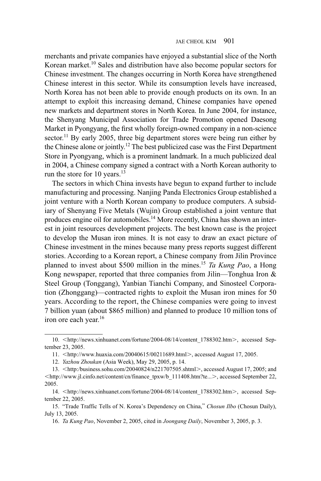merchants and private companies have enjoyed a substantial slice of the North Korean market.10 Sales and distribution have also become popular sectors for Chinese investment. The changes occurring in North Korea have strengthened Chinese interest in this sector. While its consumption levels have increased, North Korea has not been able to provide enough products on its own. In an attempt to exploit this increasing demand, Chinese companies have opened new markets and department stores in North Korea. In June 2004, for instance, the Shenyang Municipal Association for Trade Promotion opened Daesong Market in Pyongyang, the first wholly foreign-owned company in a non-science sector.<sup>11</sup> By early 2005, three big department stores were being run either by the Chinese alone or jointly.<sup>12</sup> The best publicized case was the First Department Store in Pyongyang, which is a prominent landmark. In a much publicized deal in 2004, a Chinese company signed a contract with a North Korean authority to run the store for 10 years.<sup>13</sup>

The sectors in which China invests have begun to expand further to include manufacturing and processing. Nanjing Panda Electronics Group established a joint venture with a North Korean company to produce computers. A subsidiary of Shenyang Five Metals (Wujin) Group established a joint venture that produces engine oil for automobiles.<sup>14</sup> More recently, China has shown an interest in joint resources development projects. The best known case is the project to develop the Musan iron mines. It is not easy to draw an exact picture of Chinese investment in the mines because many press reports suggest different stories. According to a Korean report, a Chinese company from Jilin Province planned to invest about \$500 million in the mines.15 *Ta Kung Pao*, a Hong Kong newspaper, reported that three companies from Jilin—Tonghua Iron  $\&$ Steel Group (Tonggang), Yanbian Tianchi Company, and Sinosteel Corporation (Zhonggang)—contracted rights to exploit the Musan iron mines for 50 years. According to the report, the Chinese companies were going to invest 7 billion yuan (about \$865 million) and planned to produce 10 million tons of iron ore each year.<sup>16</sup>

<sup>10. &</sup>lt;http://news.xinhuanet.com/fortune/2004-08/14/content\_1788302.htm>, accessed September 23, 2005.

<sup>11. &</sup>lt; http://www.huaxia.com/20040615/00211689.html>, accessed August 17, 2005.

<sup>12.</sup> *Yazhou Zhoukan* (Asia Week), May 29, 2005, p. 14.

<sup>13. &</sup>lt;http:/business.sohu.com/20040824/n221707505.shtml>, accessed August 17, 2005; and <http://www.jl.cinfo.net/content/cn/finance\_tpxw/b\_111408.htm?te...>, accessed September 22, 2005.

<sup>14. &</sup>lt;http://news.xinhuanet.com/fortune/2004-08/14/content\_1788302.htm>, accessed September 22, 2005.

<sup>15. &</sup>quot;Trade Traffic Tells of N. Korea's Dependency on China," *Chosun Ilbo* (Chosun Daily), July 13, 2005.

<sup>16.</sup> *Ta Kung Pao*, November 2, 2005, cited in *Joongang Daily*, November 3, 2005, p. 3.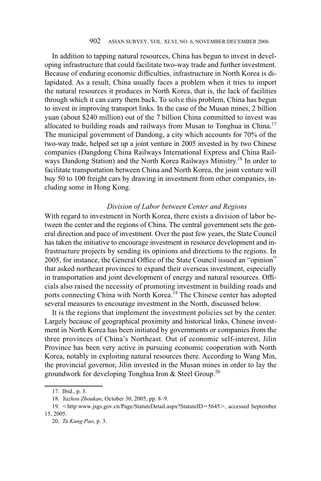#### 902 ASIAN SURVEY, VOL. XLVI, NO. 6, NOVEMBER/DECEMBER 2006

In addition to tapping natural resources, China has begun to invest in developing infrastructure that could facilitate two-way trade and further investment. Because of enduring economic difficulties, infrastructure in North Korea is dilapidated. As a result, China usually faces a problem when it tries to import the natural resources it produces in North Korea, that is, the lack of facilities through which it can carry them back. To solve this problem, China has begun to invest in improving transport links. In the case of the Musan mines, 2 billion yuan (about \$240 million) out of the 7 billion China committed to invest was allocated to building roads and railways from Musan to Tonghua in China.<sup>17</sup> The municipal government of Dandong, a city which accounts for 70% of the two-way trade, helped set up a joint venture in 2005 invested in by two Chinese companies (Dangdong China Railways International Express and China Railways Dandong Station) and the North Korea Railways Ministry.<sup>18</sup> In order to facilitate transportation between China and North Korea, the joint venture will buy 50 to 100 freight cars by drawing in investment from other companies, including some in Hong Kong.

# *Division of Labor between Center and Regions*

With regard to investment in North Korea, there exists a division of labor between the center and the regions of China. The central government sets the general direction and pace of investment. Over the past few years, the State Council has taken the initiative to encourage investment in resource development and infrastructure projects by sending its opinions and directions to the regions. In 2005, for instance, the General Office of the State Council issued an "opinion" that asked northeast provinces to expand their overseas investment, especially in transportation and joint development of energy and natural resources. Officials also raised the necessity of promoting investment in building roads and ports connecting China with North Korea.<sup>19</sup> The Chinese center has adopted several measures to encourage investment in the North, discussed below.

It is the regions that implement the investment policies set by the center. Largely because of geographical proximity and historical links, Chinese investment in North Korea has been initiated by governments or companies from the three provinces of China's Northeast. Out of economic self-interest, Jilin Province has been very active in pursuing economic cooperation with North Korea, notably in exploiting natural resources there. According to Wang Min, the provincial governor, Jilin invested in the Musan mines in order to lay the groundwork for developing Tonghua Iron  $&$  Steel Group.<sup>20</sup>

<sup>17.</sup> Ibid., p. 3.

<sup>18.</sup> *Yazhou Zhoukan*, October 30, 2005, pp. 8–9.

<sup>19. &</sup>lt;http:www.jsgs.gov.cn/Page/StatuteDetail.aspx?StatuteID=5645>, accessed September 15, 2005.

<sup>20.</sup> *Ta Kung Pao*, p. 3.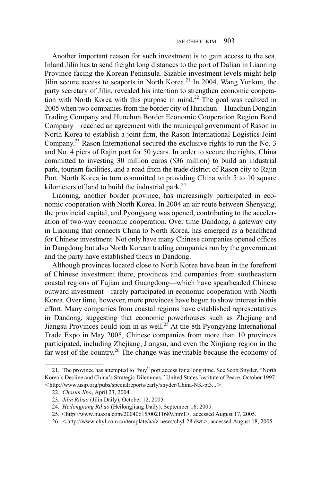Another important reason for such investment is to gain access to the sea. Inland Jilin has to send freight long distances to the port of Dalian in Liaoning Province facing the Korean Peninsula. Sizable investment levels might help Jilin secure access to seaports in North Korea.<sup>21</sup> In 2004, Wang Yunkun, the party secretary of Jilin, revealed his intention to strengthen economic cooperation with North Korea with this purpose in mind.22 The goal was realized in 2005 when two companies from the border city of Hunchun—Hunchun Donglin Trading Company and Hunchun Border Economic Cooperation Region Bond Company—reached an agreement with the municipal government of Rason in North Korea to establish a joint firm, the Rason International Logistics Joint Company.<sup>23</sup> Rason International secured the exclusive rights to run the No. 3 and No. 4 piers of Rajin port for 50 years. In order to secure the rights, China committed to investing 30 million euros (\$36 million) to build an industrial park, tourism facilities, and a road from the trade district of Rason city to Rajin Port. North Korea in turn committed to providing China with 5 to 10 square kilometers of land to build the industrial park. $^{24}$ 

Liaoning, another border province, has increasingly participated in economic cooperation with North Korea. In 2004 an air route between Shenyang, the provincial capital, and Pyongyang was opened, contributing to the acceleration of two-way economic cooperation. Over time Dandong, a gateway city in Liaoning that connects China to North Korea, has emerged as a beachhead for Chinese investment. Not only have many Chinese companies opened offices in Dangdong but also North Korean trading companies run by the government and the party have established theirs in Dandong.

Although provinces located close to North Korea have been in the forefront of Chinese investment there, provinces and companies from southeastern coastal regions of Fujian and Guangdong—which have spearheaded Chinese outward investment—rarely participated in economic cooperation with North Korea. Over time, however, more provinces have begun to show interest in this effort. Many companies from coastal regions have established representatives in Dandong, suggesting that economic powerhouses such as Zhejiang and Jiangsu Provinces could join in as well.<sup>25</sup> At the 8th Pyongyang International Trade Expo in May 2005, Chinese companies from more than 10 provinces participated, including Zhejiang, Jiangsu, and even the Xinjiang region in the far west of the country.<sup>26</sup> The change was inevitable because the economy of

<sup>21.</sup> The province has attempted to "buy" port access for a long time. See Scott Snyder, "North Korea's Decline and China's Strategic Dilemmas," United States Institute of Peace, October 1997, <http://www.usip.org/pubs/specialreports/early/snyder/China-NK-pt3...>.

<sup>22.</sup> *Chosun Ilbo*, April 23, 2004.

<sup>23.</sup> *Jilin Ribao* (Jilin Daily), October 12, 2005.

<sup>24.</sup> *Heilongjiang Ribao* (Heilongjiang Daily), September 16, 2005.

<sup>25. &</sup>lt;http://www.huaxia.com/20040615/00211689.html>, accessed August 17, 2005.

<sup>26. &</sup>lt;http://www.chyl.com.cn/template/aa/z-news/chyl-28.dwt>, accessed August 18, 2005.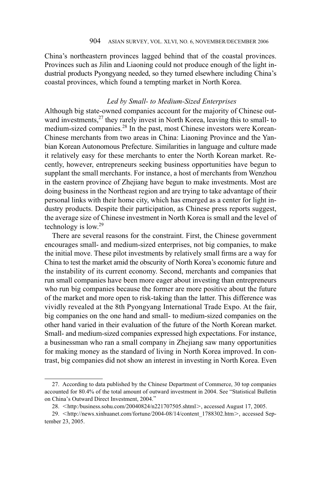China's northeastern provinces lagged behind that of the coastal provinces. Provinces such as Jilin and Liaoning could not produce enough of the light industrial products Pyongyang needed, so they turned elsewhere including China's coastal provinces, which found a tempting market in North Korea.

#### *Led by Small- to Medium-Sized Enterprises*

Although big state-owned companies account for the majority of Chinese outward investments,<sup>27</sup> they rarely invest in North Korea, leaving this to small- to medium-sized companies.28 In the past, most Chinese investors were Korean-Chinese merchants from two areas in China: Liaoning Province and the Yanbian Korean Autonomous Prefecture. Similarities in language and culture made it relatively easy for these merchants to enter the North Korean market. Recently, however, entrepreneurs seeking business opportunities have begun to supplant the small merchants. For instance, a host of merchants from Wenzhou in the eastern province of Zhejiang have begun to make investments. Most are doing business in the Northeast region and are trying to take advantage of their personal links with their home city, which has emerged as a center for light industry products. Despite their participation, as Chinese press reports suggest, the average size of Chinese investment in North Korea is small and the level of technology is low.<sup>29</sup>

There are several reasons for the constraint. First, the Chinese government encourages small- and medium-sized enterprises, not big companies, to make the initial move. These pilot investments by relatively small firms are a way for China to test the market amid the obscurity of North Korea's economic future and the instability of its current economy. Second, merchants and companies that run small companies have been more eager about investing than entrepreneurs who run big companies because the former are more positive about the future of the market and more open to risk-taking than the latter. This difference was vividly revealed at the 8th Pyongyang International Trade Expo. At the fair, big companies on the one hand and small- to medium-sized companies on the other hand varied in their evaluation of the future of the North Korean market. Small- and medium-sized companies expressed high expectations. For instance, a businessman who ran a small company in Zhejiang saw many opportunities for making money as the standard of living in North Korea improved. In contrast, big companies did not show an interest in investing in North Korea. Even

<sup>27.</sup> According to data published by the Chinese Department of Commerce, 30 top companies accounted for 80.4% of the total amount of outward investment in 2004. See "Statistical Bulletin on China's Outward Direct Investment, 2004."

<sup>28. &</sup>lt;http:/business.sohu.com/20040824/n221707505.shtml>, accessed August 17, 2005.

<sup>29. &</sup>lt;http://news.xinhuanet.com/fortune/2004-08/14/content\_1788302.htm>, accessed September 23, 2005.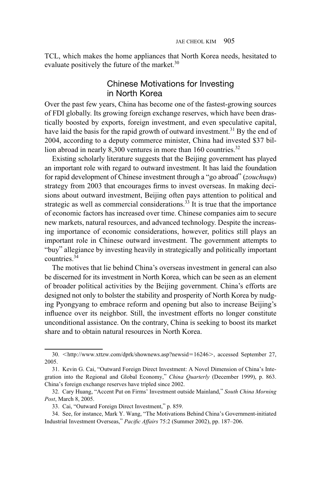TCL, which makes the home appliances that North Korea needs, hesitated to evaluate positively the future of the market. $30$ 

# Chinese Motivations for Investing in North Korea

Over the past few years, China has become one of the fastest-growing sources of FDI globally. Its growing foreign exchange reserves, which have been drastically boosted by exports, foreign investment, and even speculative capital, have laid the basis for the rapid growth of outward investment.<sup>31</sup> By the end of 2004, according to a deputy commerce minister, China had invested \$37 billion abroad in nearly 8,300 ventures in more than  $160$  countries.<sup>32</sup>

Existing scholarly literature suggests that the Beijing government has played an important role with regard to outward investment. It has laid the foundation for rapid development of Chinese investment through a "go abroad" (*zouchuqu*) strategy from 2003 that encourages firms to invest overseas. In making decisions about outward investment, Beijing often pays attention to political and strategic as well as commercial considerations.<sup>33</sup> It is true that the importance of economic factors has increased over time. Chinese companies aim to secure new markets, natural resources, and advanced technology. Despite the increasing importance of economic considerations, however, politics still plays an important role in Chinese outward investment. The government attempts to "buy" allegiance by investing heavily in strategically and politically important countries.34

The motives that lie behind China's overseas investment in general can also be discerned for its investment in North Korea, which can be seen as an element of broader political activities by the Beijing government. China's efforts are designed not only to bolster the stability and prosperity of North Korea by nudging Pyongyang to embrace reform and opening but also to increase Beijing's influence over its neighbor. Still, the investment efforts no longer constitute unconditional assistance. On the contrary, China is seeking to boost its market share and to obtain natural resources in North Korea.

<sup>30. &</sup>lt;http://www.xttzw.com/dprk/shownews.asp?newsid=16246>, accessed September 27, 2005.

<sup>31.</sup> Kevin G. Cai, "Outward Foreign Direct Investment: A Novel Dimension of China's Integration into the Regional and Global Economy," *China Quarterly* (December 1999), p. 863. China's foreign exchange reserves have tripled since 2002.

<sup>32.</sup> Cary Huang, "Accent Put on Firms' Investment outside Mainland," *South China Morning Post*, March 8, 2005.

<sup>33.</sup> Cai, "Outward Foreign Direct Investment," p. 859.

<sup>34.</sup> See, for instance, Mark Y. Wang, "The Motivations Behind China's Government-initiated Industrial Investment Overseas," *Pacific Affairs* 75:2 (Summer 2002), pp. 187–206.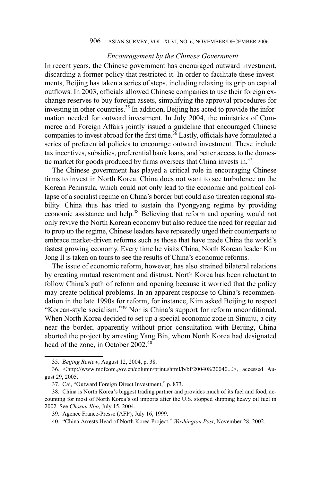#### 906 ASIAN SURVEY, VOL. XLVI, NO. 6, NOVEMBER/DECEMBER 2006

## *Encouragement by the Chinese Government*

In recent years, the Chinese government has encouraged outward investment, discarding a former policy that restricted it. In order to facilitate these investments, Beijing has taken a series of steps, including relaxing its grip on capital outflows. In 2003, officials allowed Chinese companies to use their foreign exchange reserves to buy foreign assets, simplifying the approval procedures for investing in other countries.<sup>35</sup> In addition, Beijing has acted to provide the information needed for outward investment. In July 2004, the ministries of Commerce and Foreign Affairs jointly issued a guideline that encouraged Chinese companies to invest abroad for the first time.<sup>36</sup> Lastly, officials have formulated a series of preferential policies to encourage outward investment. These include tax incentives, subsidies, preferential bank loans, and better access to the domestic market for goods produced by firms overseas that China invests in.<sup>37</sup>

The Chinese government has played a critical role in encouraging Chinese firms to invest in North Korea. China does not want to see turbulence on the Korean Peninsula, which could not only lead to the economic and political collapse of a socialist regime on China's border but could also threaten regional stability. China thus has tried to sustain the Pyongyang regime by providing economic assistance and help.<sup>38</sup> Believing that reform and opening would not only revive the North Korean economy but also reduce the need for regular aid to prop up the regime, Chinese leaders have repeatedly urged their counterparts to embrace market-driven reforms such as those that have made China the world's fastest growing economy. Every time he visits China, North Korean leader Kim Jong Il is taken on tours to see the results of China's economic reforms.

The issue of economic reform, however, has also strained bilateral relations by creating mutual resentment and distrust. North Korea has been reluctant to follow China's path of reform and opening because it worried that the policy may create political problems. In an apparent response to China's recommendation in the late 1990s for reform, for instance, Kim asked Beijing to respect "Korean-style socialism."39 Nor is China's support for reform unconditional. When North Korea decided to set up a special economic zone in Sinuiju, a city near the border, apparently without prior consultation with Beijing, China aborted the project by arresting Yang Bin, whom North Korea had designated head of the zone, in October 2002.<sup>40</sup>

<sup>35.</sup> *Beijing Review*, August 12, 2004, p. 38.

<sup>36. &</sup>lt;http://www.mofcom.gov.cn/column/print.shtml/b/bf/200408/20040...>, accessed August 29, 2005.

<sup>37.</sup> Cai, "Outward Foreign Direct Investment," p. 873.

<sup>38.</sup> China is North Korea's biggest trading partner and provides much of its fuel and food, accounting for most of North Korea's oil imports after the U.S. stopped shipping heavy oil fuel in 2002. See *Chosun Ilbo*, July 15, 2004.

<sup>39.</sup> Agence France-Presse (AFP), July 16, 1999.

<sup>40. &</sup>quot;China Arrests Head of North Korea Project," *Washington Post*, November 28, 2002.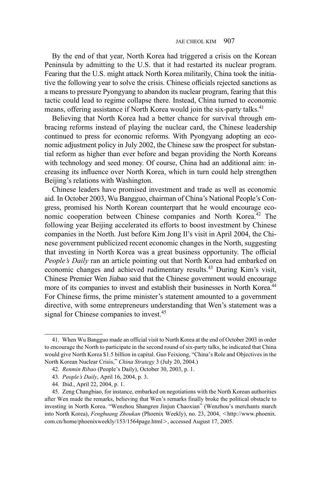By the end of that year, North Korea had triggered a crisis on the Korean Peninsula by admitting to the U.S. that it had restarted its nuclear program. Fearing that the U.S. might attack North Korea militarily, China took the initiative the following year to solve the crisis. Chinese officials rejected sanctions as a means to pressure Pyongyang to abandon its nuclear program, fearing that this tactic could lead to regime collapse there. Instead, China turned to economic means, offering assistance if North Korea would join the six-party talks.<sup>41</sup>

Believing that North Korea had a better chance for survival through embracing reforms instead of playing the nuclear card, the Chinese leadership continued to press for economic reforms. With Pyongyang adopting an economic adjustment policy in July 2002, the Chinese saw the prospect for substantial reform as higher than ever before and began providing the North Koreans with technology and seed money. Of course, China had an additional aim: increasing its influence over North Korea, which in turn could help strengthen Beijing's relations with Washington.

Chinese leaders have promised investment and trade as well as economic aid. In October 2003, Wu Bangguo, chairman of China's National People's Congress, promised his North Korean counterpart that he would encourage economic cooperation between Chinese companies and North Korea.<sup>42</sup> The following year Beijing accelerated its efforts to boost investment by Chinese companies in the North. Just before Kim Jong Il's visit in April 2004, the Chinese government publicized recent economic changes in the North, suggesting that investing in North Korea was a great business opportunity. The official *People's Daily* ran an article pointing out that North Korea had embarked on economic changes and achieved rudimentary results.<sup>43</sup> During Kim's visit, Chinese Premier Wen Jiabao said that the Chinese government would encourage more of its companies to invest and establish their businesses in North Korea.<sup>44</sup> For Chinese firms, the prime minister's statement amounted to a government directive, with some entrepreneurs understanding that Wen's statement was a signal for Chinese companies to invest.<sup>45</sup>

<sup>41.</sup> When Wu Bangguo made an official visit to North Korea at the end of October 2003 in order to encourage the North to participate in the second round of six-party talks, he indicated that China would give North Korea \$1.5 billion in capital. Guo Feixiong, "China's Role and Objectives in the North Korean Nuclear Crisis," *China Strategy* 3 (July 20, 2004.)

<sup>42.</sup> *Renmin Ribao* (People's Daily), October 30, 2003, p. 1.

<sup>43.</sup> *People's Daily*, April 16, 2004, p. 3.

<sup>44.</sup> Ibid., April 22, 2004, p. 1.

<sup>45.</sup> Zeng Changbiao, for instance, embarked on negotiations with the North Korean authorities after Wen made the remarks, believing that Wen's remarks finally broke the political obstacle to investing in North Korea. "Wenzhou Shangren Jinjun Chaoxian" (Wenzhou's merchants march into North Korea), *Fenghuang Zhoukan* (Phoenix Weekly), no. 23, 2004, <http://www.phoenix. com.cn/home/phoenixweekly/153/1564page.html>, accessed August 17, 2005.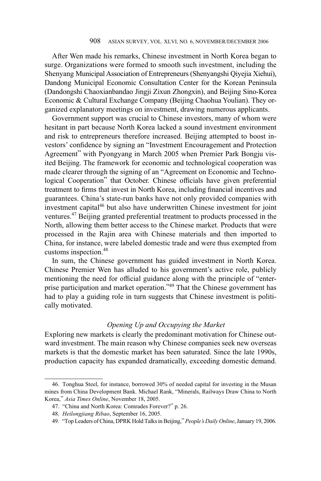After Wen made his remarks, Chinese investment in North Korea began to surge. Organizations were formed to smooth such investment, including the Shenyang Municipal Association of Entrepreneurs (Shenyangshi Qiyejia Xiehui), Dandong Municipal Economic Consultation Center for the Korean Peninsula (Dandongshi Chaoxianbandao Jingji Zixun Zhongxin), and Beijing Sino-Korea Economic & Cultural Exchange Company (Beijing Chaohua Youlian). They organized explanatory meetings on investment, drawing numerous applicants.

Government support was crucial to Chinese investors, many of whom were hesitant in part because North Korea lacked a sound investment environment and risk to entrepreneurs therefore increased. Beijing attempted to boost investors' confidence by signing an "Investment Encouragement and Protection Agreement" with Pyongyang in March 2005 when Premier Park Bongju visited Beijing. The framework for economic and technological cooperation was made clearer through the signing of an "Agreement on Economic and Technological Cooperation" that October. Chinese officials have given preferential treatment to firms that invest in North Korea, including financial incentives and guarantees. China's state-run banks have not only provided companies with investment capital<sup>46</sup> but also have underwritten Chinese investment for joint ventures.47 Beijing granted preferential treatment to products processed in the North, allowing them better access to the Chinese market. Products that were processed in the Rajin area with Chinese materials and then imported to China, for instance, were labeled domestic trade and were thus exempted from customs inspection.48

In sum, the Chinese government has guided investment in North Korea. Chinese Premier Wen has alluded to his government's active role, publicly mentioning the need for official guidance along with the principle of "enterprise participation and market operation."49 That the Chinese government has had to play a guiding role in turn suggests that Chinese investment is politically motivated.

# *Opening Up and Occupying the Market*

Exploring new markets is clearly the predominant motivation for Chinese outward investment. The main reason why Chinese companies seek new overseas markets is that the domestic market has been saturated. Since the late 1990s, production capacity has expanded dramatically, exceeding domestic demand.

<sup>46.</sup> Tonghua Steel, for instance, borrowed 30% of needed capital for investing in the Musan mines from China Development Bank. Michael Rank, "Minerals, Railways Draw China to North Korea," *Asia Times Online*, November 18, 2005.

<sup>47. &</sup>quot;China and North Korea: Comrades Forever?" p. 26.

<sup>48.</sup> *Heilongjiang Ribao*, September 16, 2005.

<sup>49. &</sup>quot;Top Leaders of China, DPRK Hold Talks in Beijing," *People's Daily Online*, January 19, 2006.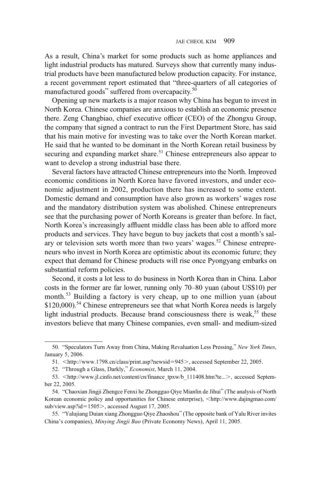As a result, China's market for some products such as home appliances and light industrial products has matured. Surveys show that currently many industrial products have been manufactured below production capacity. For instance, a recent government report estimated that "three-quarters of all categories of manufactured goods" suffered from overcapacity.<sup>50</sup>

Opening up new markets is a major reason why China has begun to invest in North Korea. Chinese companies are anxious to establish an economic presence there. Zeng Changbiao, chief executive officer (CEO) of the Zhongxu Group, the company that signed a contract to run the First Department Store, has said that his main motive for investing was to take over the North Korean market. He said that he wanted to be dominant in the North Korean retail business by securing and expanding market share.<sup>51</sup> Chinese entrepreneurs also appear to want to develop a strong industrial base there.

Several factors have attracted Chinese entrepreneurs into the North. Improved economic conditions in North Korea have favored investors, and under economic adjustment in 2002, production there has increased to some extent. Domestic demand and consumption have also grown as workers' wages rose and the mandatory distribution system was abolished. Chinese entrepreneurs see that the purchasing power of North Koreans is greater than before. In fact, North Korea's increasingly affluent middle class has been able to afford more products and services. They have begun to buy jackets that cost a month's salary or television sets worth more than two years' wages.<sup>52</sup> Chinese entrepreneurs who invest in North Korea are optimistic about its economic future; they expect that demand for Chinese products will rise once Pyongyang embarks on substantial reform policies.

Second, it costs a lot less to do business in North Korea than in China. Labor costs in the former are far lower, running only 70–80 yuan (about US\$10) per month.<sup>53</sup> Building a factory is very cheap, up to one million yuan (about  $$120,000$ .<sup>54</sup> Chinese entrepreneurs see that what North Korea needs is largely light industrial products. Because brand consciousness there is weak,<sup>55</sup> these investors believe that many Chinese companies, even small- and medium-sized

<sup>50. &</sup>quot;Speculators Turn Away from China, Making Revaluation Less Pressing," *New York Times*, January 5, 2006.

<sup>51. &</sup>lt; http://www.1798.cn/class/print.asp?newsid=945>, accessed September 22, 2005.

<sup>52. &</sup>quot;Through a Glass, Darkly," *Economist*, March 11, 2004.

<sup>53. &</sup>lt;http://www.jl.cinfo.net/content/cn/finance\_tpxw/b\_111408.htm?te...>, accessed September 22, 2005.

<sup>54. &</sup>quot;Chaoxian Jingji Zhengce Fenxi he Zhongguo Qiye Mianlin de Jihui" (The analysis of North Korean economic policy and opportunities for Chinese enterprise), <http://www.dajingmao.com/ sub/view.asp?id=1505>, accessed August 17, 2005.

<sup>55. &</sup>quot;Yalujiang Duian xiang Zhongguo Qiye Zhaoshou" (The opposite bank of Yalu River invites China's companies), *Minying Jingji Bao* (Private Economy News), April 11, 2005.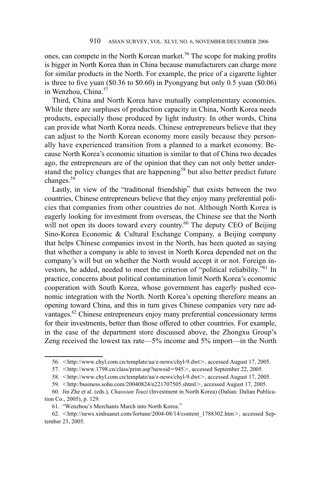ones, can compete in the North Korean market.<sup>56</sup> The scope for making profits is bigger in North Korea than in China because manufacturers can charge more for similar products in the North. For example, the price of a cigarette lighter is three to five yuan (\$0.36 to \$0.60) in Pyongyang but only 0.5 yuan (\$0.06) in Wenzhou, China.<sup>57</sup>

Third, China and North Korea have mutually complementary economies. While there are surpluses of production capacity in China, North Korea needs products, especially those produced by light industry. In other words, China can provide what North Korea needs. Chinese entrepreneurs believe that they can adjust to the North Korean economy more easily because they personally have experienced transition from a planned to a market economy. Because North Korea's economic situation is similar to that of China two decades ago, the entrepreneurs are of the opinion that they can not only better understand the policy changes that are happening<sup>58</sup> but also better predict future changes.59

Lastly, in view of the "traditional friendship" that exists between the two countries, Chinese entrepreneurs believe that they enjoy many preferential policies that companies from other countries do not. Although North Korea is eagerly looking for investment from overseas, the Chinese see that the North will not open its doors toward every country.<sup>60</sup> The deputy CEO of Beijing Sino-Korea Economic & Cultural Exchange Company, a Beijing company that helps Chinese companies invest in the North, has been quoted as saying that whether a company is able to invest in North Korea depended not on the company's will but on whether the North would accept it or not. Foreign investors, he added, needed to meet the criterion of "political reliability."<sup>61</sup> In practice, concerns about political contamination limit North Korea's economic cooperation with South Korea, whose government has eagerly pushed economic integration with the North. North Korea's opening therefore means an opening toward China, and this in turn gives Chinese companies very rare advantages.<sup>62</sup> Chinese entrepreneurs enjoy many preferential concessionary terms for their investments, better than those offered to other countries. For example, in the case of the department store discussed above, the Zhongxu Group's Zeng received the lowest tax rate—5% income and 5% import—in the North

<sup>56. &</sup>lt; http://www.chyl.com.cn/template/aa/z-news/chyl-9.dwt>, accessed August 17, 2005.

<sup>57. &</sup>lt; http://www.1798.cn/class/print.asp?newsid=945>, accessed September 22, 2005.

<sup>58. &</sup>lt;http://www.chyl.com.cn/template/aa/z-news/chyl-9.dwt>, accessed August 17, 2005.

<sup>59. &</sup>lt; http:/business.sohu.com/20040824/n221707505.shtml>, accessed August 17, 2005.

<sup>60.</sup> Jin Zhe et al. (eds.), *Chaoxian Touzi* (Investment in North Korea) (Dalian: Dalian Publication Co., 2005), p. 129.

<sup>61. &</sup>quot;Wenzhou's Merchants March into North Korea."

<sup>62. &</sup>lt;http://news.xinhuanet.com/fortune/2004-08/14/content\_1788302.htm>, accessed September 23, 2005.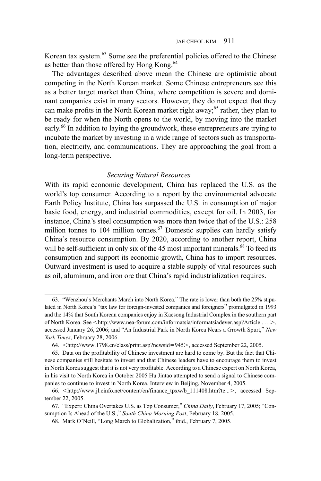Korean tax system. $63$  Some see the preferential policies offered to the Chinese as better than those offered by Hong Kong.<sup>64</sup>

The advantages described above mean the Chinese are optimistic about competing in the North Korean market. Some Chinese entrepreneurs see this as a better target market than China, where competition is severe and dominant companies exist in many sectors. However, they do not expect that they can make profits in the North Korean market right away;<sup>65</sup> rather, they plan to be ready for when the North opens to the world, by moving into the market early.<sup>66</sup> In addition to laying the groundwork, these entrepreneurs are trying to incubate the market by investing in a wide range of sectors such as transportation, electricity, and communications. They are approaching the goal from a long-term perspective.

#### *Securing Natural Resources*

With its rapid economic development, China has replaced the U.S. as the world's top consumer. According to a report by the environmental advocate Earth Policy Institute, China has surpassed the U.S. in consumption of major basic food, energy, and industrial commodities, except for oil. In 2003, for instance, China's steel consumption was more than twice that of the U.S.: 258 million tonnes to 104 million tonnes.<sup>67</sup> Domestic supplies can hardly satisfy China's resource consumption. By 2020, according to another report, China will be self-sufficient in only six of the 45 most important minerals.<sup>68</sup> To feed its consumption and support its economic growth, China has to import resources. Outward investment is used to acquire a stable supply of vital resources such as oil, aluminum, and iron ore that China's rapid industrialization requires.

<sup>63. &</sup>quot;Wenzhou's Merchants March into North Korea." The rate is lower than both the 25% stipulated in North Korea's "tax law for foreign-invested companies and foreigners" promulgated in 1993 and the 14% that South Korean companies enjoy in Kaesong Industrial Complex in the southern part of North Korea. See <http://www.nea-forum.com/informatsia/informatsiadever.asp?Article ... >, accessed January 26, 2006; and "An Industrial Park in North Korea Nears a Growth Spurt," *New York Times*, February 28, 2006.

<sup>64. &</sup>lt;http://www.1798.cn/class/print.asp?newsid=945>, accessed September 22, 2005.

<sup>65.</sup> Data on the profitability of Chinese investment are hard to come by. But the fact that Chinese companies still hesitate to invest and that Chinese leaders have to encourage them to invest in North Korea suggest that it is not very profitable. According to a Chinese expert on North Korea, in his visit to North Korea in October 2005 Hu Jintao attempted to send a signal to Chinese companies to continue to invest in North Korea. Interview in Beijing, November 4, 2005.

<sup>66. &</sup>lt;http://www.jl.cinfo.net/content/cn/finance\_tpxw/b\_111408.htm?te...>, accessed September 22, 2005.

<sup>67. &</sup>quot;Expert: China Overtakes U.S. as Top Consumer," *China Daily*, February 17, 2005; "Consumption Is Ahead of the U.S.," *South China Morning Post*, February 18, 2005.

<sup>68.</sup> Mark O'Neill, "Long March to Globalization," ibid., February 7, 2005.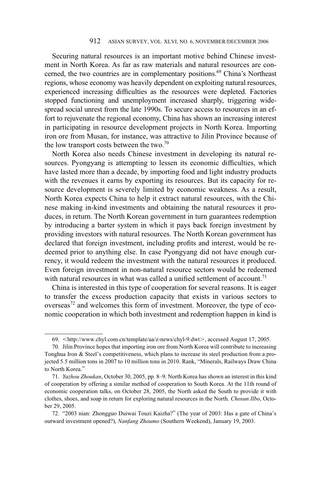#### 912 ASIAN SURVEY, VOL. XLVI, NO. 6, NOVEMBER/DECEMBER 2006

Securing natural resources is an important motive behind Chinese investment in North Korea. As far as raw materials and natural resources are concerned, the two countries are in complementary positions.<sup>69</sup> China's Northeast regions, whose economy was heavily dependent on exploiting natural resources, experienced increasing difficulties as the resources were depleted. Factories stopped functioning and unemployment increased sharply, triggering widespread social unrest from the late 1990s. To secure access to resources in an effort to rejuvenate the regional economy, China has shown an increasing interest in participating in resource development projects in North Korea. Importing iron ore from Musan, for instance, was attractive to Jilin Province because of the low transport costs between the two.<sup>70</sup>

North Korea also needs Chinese investment in developing its natural resources. Pyongyang is attempting to lessen its economic difficulties, which have lasted more than a decade, by importing food and light industry products with the revenues it earns by exporting its resources. But its capacity for resource development is severely limited by economic weakness. As a result, North Korea expects China to help it extract natural resources, with the Chinese making in-kind investments and obtaining the natural resources it produces, in return. The North Korean government in turn guarantees redemption by introducing a barter system in which it pays back foreign investment by providing investors with natural resources. The North Korean government has declared that foreign investment, including profits and interest, would be redeemed prior to anything else. In case Pyongyang did not have enough currency, it would redeem the investment with the natural resources it produced. Even foreign investment in non-natural resource sectors would be redeemed with natural resources in what was called a unified settlement of account.<sup>71</sup>

China is interested in this type of cooperation for several reasons. It is eager to transfer the excess production capacity that exists in various sectors to  $overs^{72}$  and welcomes this form of investment. Moreover, the type of economic cooperation in which both investment and redemption happen in kind is

<sup>69. &</sup>lt; http://www.chyl.com.cn/template/aa/z-news/chyl-9.dwt>, accessed August 17, 2005.

<sup>70.</sup> Jilin Province hopes that importing iron ore from North Korea will contribute to increasing Tonghua Iron & Steel's competitiveness, which plans to increase its steel production from a projected 5.5 million tons in 2007 to 10 million tons in 2010. Rank, "Minerals, Railways Draw China to North Korea."

<sup>71.</sup> *Yazhou Zhoukan*, October 30, 2005, pp. 8–9. North Korea has shown an interest in this kind of cooperation by offering a similar method of cooperation to South Korea. At the 11th round of economic cooperation talks, on October 28, 2005, the North asked the South to provide it with clothes, shoes, and soap in return for exploring natural resources in the North. *Chosun Ilbo*, October 29, 2005.

<sup>72. &</sup>quot;2003 nian: Zhongguo Duiwai Touzi Kaizha?" (The year of 2003: Has a gate of China's outward investment opened?), *Nanfang Zhoumo* (Southern Weekend), January 19, 2003.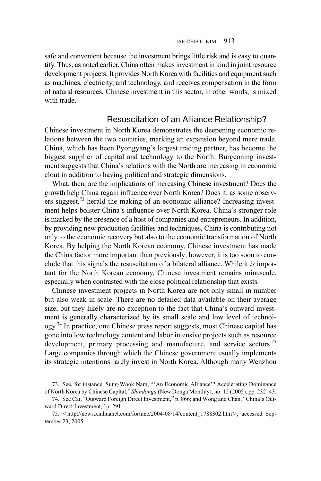safe and convenient because the investment brings little risk and is easy to quantify. Thus, as noted earlier, China often makes investment in kind in joint resource development projects. It provides North Korea with facilities and equipment such as machines, electricity, and technology, and receives compensation in the form of natural resources. Chinese investment in this sector, in other words, is mixed with trade.

# Resuscitation of an Alliance Relationship?

Chinese investment in North Korea demonstrates the deepening economic relations between the two countries, marking an expansion beyond mere trade. China, which has been Pyongyang's largest trading partner, has become the biggest supplier of capital and technology to the North. Burgeoning investment suggests that China's relations with the North are increasing in economic clout in addition to having political and strategic dimensions.

What, then, are the implications of increasing Chinese investment? Does the growth help China regain influence over North Korea? Does it, as some observers suggest, $73$  herald the making of an economic alliance? Increasing investment helps bolster China's influence over North Korea. China's stronger role is marked by the presence of a host of companies and entrepreneurs. In addition, by providing new production facilities and techniques, China is contributing not only to the economic recovery but also to the economic transformation of North Korea. By helping the North Korean economy, Chinese investment has made the China factor more important than previously; however, it is too soon to conclude that this signals the resuscitation of a bilateral alliance. While it *is* important for the North Korean economy, Chinese investment remains minuscule, especially when contrasted with the close political relationship that exists.

Chinese investment projects in North Korea are not only small in number but also weak in scale. There are no detailed data available on their average size, but they likely are no exception to the fact that China's outward investment is generally characterized by its small scale and low level of technology.74 In practice, one Chinese press report suggests, most Chinese capital has gone into low technology content and labor intensive projects such as resource development, primary processing and manufacture, and service sectors.<sup>75</sup> Large companies through which the Chinese government usually implements its strategic intentions rarely invest in North Korea. Although many Wenzhou

<sup>73.</sup> See, for instance, Sung-Wook Nam, "'An Economic Alliance'? Accelerating Dominance of North Korea by Chinese Capital," *Shindonga* (New Donga Monthly), no. 12 (2005), pp. 232–43.

<sup>74.</sup> See Cai, "Outward Foreign Direct Investment," p. 866; and Wong and Chan, "China's Outward Direct Investment," p. 291.

<sup>75. &</sup>lt;http://news.xinhuanet.com/fortune/2004-08/14/content\_1788302.htm>, accessed September 23, 2005.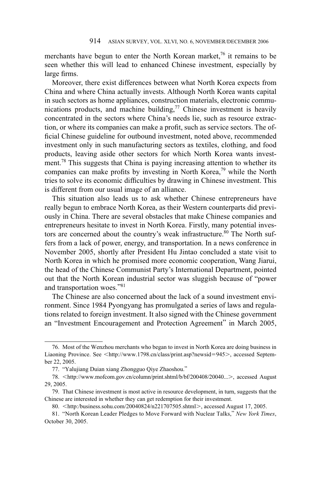merchants have begun to enter the North Korean market, $76$  it remains to be seen whether this will lead to enhanced Chinese investment, especially by large firms.

Moreover, there exist differences between what North Korea expects from China and where China actually invests. Although North Korea wants capital in such sectors as home appliances, construction materials, electronic communications products, and machine building, $77$  Chinese investment is heavily concentrated in the sectors where China's needs lie, such as resource extraction, or where its companies can make a profit, such as service sectors. The official Chinese guideline for outbound investment, noted above, recommended investment only in such manufacturing sectors as textiles, clothing, and food products, leaving aside other sectors for which North Korea wants investment.<sup>78</sup> This suggests that China is paying increasing attention to whether its companies can make profits by investing in North Korea, $^{79}$  while the North tries to solve its economic difficulties by drawing in Chinese investment. This is different from our usual image of an alliance.

This situation also leads us to ask whether Chinese entrepreneurs have really begun to embrace North Korea, as their Western counterparts did previously in China. There are several obstacles that make Chinese companies and entrepreneurs hesitate to invest in North Korea. Firstly, many potential investors are concerned about the country's weak infrastructure.<sup>80</sup> The North suffers from a lack of power, energy, and transportation. In a news conference in November 2005, shortly after President Hu Jintao concluded a state visit to North Korea in which he promised more economic cooperation, Wang Jiarui, the head of the Chinese Communist Party's International Department, pointed out that the North Korean industrial sector was sluggish because of "power and transportation woes."81

The Chinese are also concerned about the lack of a sound investment environment. Since 1984 Pyongyang has promulgated a series of laws and regulations related to foreign investment. It also signed with the Chinese government an "Investment Encouragement and Protection Agreement" in March 2005,

<sup>76.</sup> Most of the Wenzhou merchants who began to invest in North Korea are doing business in Liaoning Province. See <http://www.1798.cn/class/print.asp?newsid=945>, accessed September 22, 2005.

<sup>77. &</sup>quot;Yalujiang Duian xiang Zhongguo Qiye Zhaoshou."

<sup>78. &</sup>lt;http://www.mofcom.gov.cn/column/print.shtml/b/bf/200408/20040...>, accessed August 29, 2005.

<sup>79.</sup> That Chinese investment is most active in resource development, in turn, suggests that the Chinese are interested in whether they can get redemption for their investment.

<sup>80. &</sup>lt; http:/business.sohu.com/20040824/n221707505.shtml>, accessed August 17, 2005.

<sup>81. &</sup>quot;North Korean Leader Pledges to Move Forward with Nuclear Talks," *New York Times*, October 30, 2005.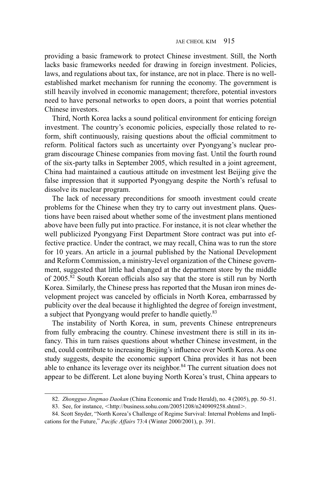providing a basic framework to protect Chinese investment. Still, the North lacks basic frameworks needed for drawing in foreign investment. Policies, laws, and regulations about tax, for instance, are not in place. There is no wellestablished market mechanism for running the economy. The government is still heavily involved in economic management; therefore, potential investors need to have personal networks to open doors, a point that worries potential Chinese investors.

Third, North Korea lacks a sound political environment for enticing foreign investment. The country's economic policies, especially those related to reform, shift continuously, raising questions about the official commitment to reform. Political factors such as uncertainty over Pyongyang's nuclear program discourage Chinese companies from moving fast. Until the fourth round of the six-party talks in September 2005, which resulted in a joint agreement, China had maintained a cautious attitude on investment lest Beijing give the false impression that it supported Pyongyang despite the North's refusal to dissolve its nuclear program.

The lack of necessary preconditions for smooth investment could create problems for the Chinese when they try to carry out investment plans. Questions have been raised about whether some of the investment plans mentioned above have been fully put into practice. For instance, it is not clear whether the well publicized Pyongyang First Department Store contract was put into effective practice. Under the contract, we may recall, China was to run the store for 10 years. An article in a journal published by the National Development and Reform Commission, a ministry-level organization of the Chinese government, suggested that little had changed at the department store by the middle of 2005.82 South Korean officials also say that the store is still run by North Korea. Similarly, the Chinese press has reported that the Musan iron mines development project was canceled by officials in North Korea, embarrassed by publicity over the deal because it highlighted the degree of foreign investment, a subject that Pyongyang would prefer to handle quietly.<sup>83</sup>

The instability of North Korea, in sum, prevents Chinese entrepreneurs from fully embracing the country. Chinese investment there is still in its infancy. This in turn raises questions about whether Chinese investment, in the end, could contribute to increasing Beijing's influence over North Korea. As one study suggests, despite the economic support China provides it has not been able to enhance its leverage over its neighbor.<sup>84</sup> The current situation does not appear to be different. Let alone buying North Korea's trust, China appears to

<sup>82.</sup> *Zhongguo Jingmao Daokan* (China Economic and Trade Herald), no. 4 (2005), pp. 50–51.

<sup>83.</sup> See, for instance, <http://business.sohu.com/20051208/n240909258.shtml>.

<sup>84.</sup> Scott Snyder, "North Korea's Challenge of Regime Survival: Internal Problems and Implications for the Future," *Pacific Affairs* 73:4 (Winter 2000/2001), p. 391.